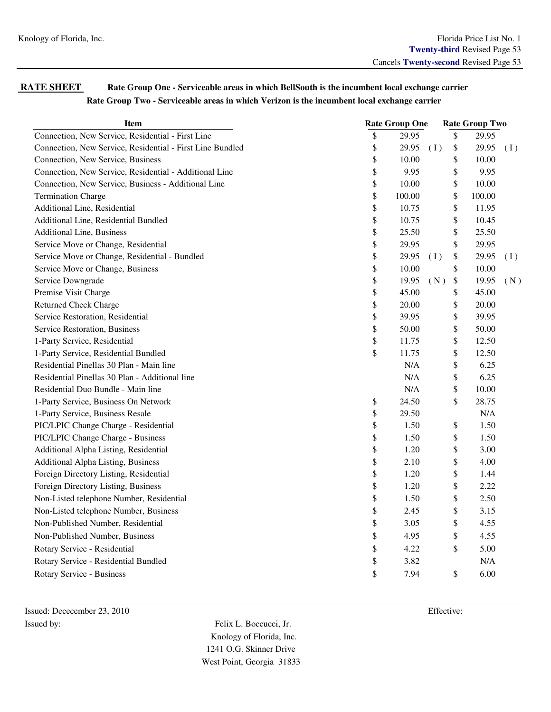| <b>RATE SHEET</b> | Rate Group One - Serviceable areas in which BellSouth is the incumbent local exchange carrier |
|-------------------|-----------------------------------------------------------------------------------------------|
|                   | Rate Group Two - Serviceable areas in which Verizon is the incumbent local exchange carrier   |

| <b>Item</b>                                               | <b>Rate Group One</b> |           |     | <b>Rate Group Two</b> |        |     |  |
|-----------------------------------------------------------|-----------------------|-----------|-----|-----------------------|--------|-----|--|
| Connection, New Service, Residential - First Line         | \$                    | 29.95     |     | $\$$                  | 29.95  |     |  |
| Connection, New Service, Residential - First Line Bundled | \$                    | 29.95     | (I) | \$                    | 29.95  | (I) |  |
| Connection, New Service, Business                         | \$                    | 10.00     |     | \$                    | 10.00  |     |  |
| Connection, New Service, Residential - Additional Line    | \$                    | 9.95      |     | \$                    | 9.95   |     |  |
| Connection, New Service, Business - Additional Line       | \$                    | 10.00     |     | \$                    | 10.00  |     |  |
| <b>Termination Charge</b>                                 | \$                    | 100.00    |     | \$                    | 100.00 |     |  |
| Additional Line, Residential                              | \$                    | 10.75     |     | \$                    | 11.95  |     |  |
| <b>Additional Line, Residential Bundled</b>               | \$                    | 10.75     |     | \$                    | 10.45  |     |  |
| <b>Additional Line, Business</b>                          | \$                    | 25.50     |     | \$                    | 25.50  |     |  |
| Service Move or Change, Residential                       | \$                    | 29.95     |     | \$                    | 29.95  |     |  |
| Service Move or Change, Residential - Bundled             | \$                    | 29.95     | (I) | \$                    | 29.95  | (1) |  |
| Service Move or Change, Business                          | \$                    | 10.00     |     | \$                    | 10.00  |     |  |
| Service Downgrade                                         | \$                    | 19.95     | (N) | \$                    | 19.95  | (N) |  |
| Premise Visit Charge                                      | \$                    | 45.00     |     | \$                    | 45.00  |     |  |
| <b>Returned Check Charge</b>                              | \$                    | 20.00     |     | \$                    | 20.00  |     |  |
| Service Restoration, Residential                          | \$                    | 39.95     |     | \$                    | 39.95  |     |  |
| <b>Service Restoration</b> , Business                     | \$                    | 50.00     |     | \$                    | 50.00  |     |  |
| 1-Party Service, Residential                              | \$                    | 11.75     |     | \$                    | 12.50  |     |  |
| 1-Party Service, Residential Bundled                      | \$                    | 11.75     |     | \$                    | 12.50  |     |  |
| Residential Pinellas 30 Plan - Main line                  |                       | N/A       |     | \$                    | 6.25   |     |  |
| Residential Pinellas 30 Plan - Additional line            |                       | $\rm N/A$ |     | \$                    | 6.25   |     |  |
| Residential Duo Bundle - Main line                        |                       | $\rm N/A$ |     | \$                    | 10.00  |     |  |
| 1-Party Service, Business On Network                      | \$                    | 24.50     |     | \$                    | 28.75  |     |  |
| 1-Party Service, Business Resale                          | \$                    | 29.50     |     |                       | N/A    |     |  |
| PIC/LPIC Change Charge - Residential                      | \$                    | 1.50      |     | \$                    | 1.50   |     |  |
| PIC/LPIC Change Charge - Business                         | \$                    | 1.50      |     | \$                    | 1.50   |     |  |
| Additional Alpha Listing, Residential                     | \$                    | 1.20      |     | \$                    | 3.00   |     |  |
| <b>Additional Alpha Listing, Business</b>                 | \$                    | 2.10      |     | \$                    | 4.00   |     |  |
| Foreign Directory Listing, Residential                    | \$                    | 1.20      |     | \$                    | 1.44   |     |  |
| Foreign Directory Listing, Business                       | \$                    | 1.20      |     | \$                    | 2.22   |     |  |
| Non-Listed telephone Number, Residential                  | \$                    | 1.50      |     | \$                    | 2.50   |     |  |
| Non-Listed telephone Number, Business                     | \$                    | 2.45      |     | \$                    | 3.15   |     |  |
| Non-Published Number, Residential                         | \$                    | 3.05      |     | \$                    | 4.55   |     |  |
| Non-Published Number, Business                            | \$                    | 4.95      |     | \$                    | 4.55   |     |  |
| Rotary Service - Residential                              | \$                    | 4.22      |     | \$                    | 5.00   |     |  |
| Rotary Service - Residential Bundled                      | \$                    | 3.82      |     |                       | N/A    |     |  |
| <b>Rotary Service - Business</b>                          | \$                    | 7.94      |     | \$                    | 6.00   |     |  |
|                                                           |                       |           |     |                       |        |     |  |

 Issued: Dececember 23, 2010 Effective: Issued by: Felix L. Boccucci, Jr.

 Knology of Florida, Inc. 1241 O.G. Skinner Drive West Point, Georgia 31833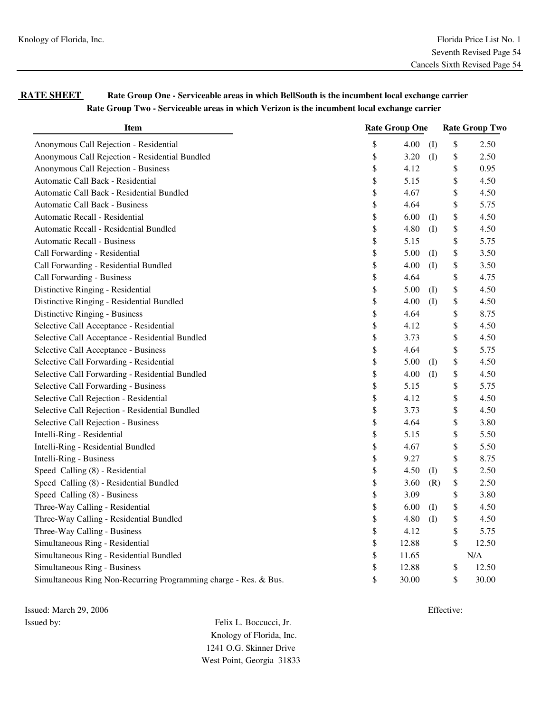| <b>RATE SHEET</b> | Rate Group One - Serviceable areas in which BellSouth is the incumbent local exchange carrier |
|-------------------|-----------------------------------------------------------------------------------------------|
|                   | Rate Group Two - Serviceable areas in which Verizon is the incumbent local exchange carrier   |

| <b>Item</b>                                                      | <b>Rate Group One</b> |       |                   | <b>Rate Group Two</b> |       |  |
|------------------------------------------------------------------|-----------------------|-------|-------------------|-----------------------|-------|--|
| Anonymous Call Rejection - Residential                           | \$                    | 4.00  | $\mathcal{L}$     | \$                    | 2.50  |  |
| Anonymous Call Rejection - Residential Bundled                   | \$                    | 3.20  | $\mathcal{L}$     | \$                    | 2.50  |  |
| Anonymous Call Rejection - Business                              | \$                    | 4.12  |                   | \$                    | 0.95  |  |
| Automatic Call Back - Residential                                | \$                    | 5.15  |                   | \$                    | 4.50  |  |
| Automatic Call Back - Residential Bundled                        | \$                    | 4.67  |                   | \$                    | 4.50  |  |
| Automatic Call Back - Business                                   | \$                    | 4.64  |                   | \$                    | 5.75  |  |
| Automatic Recall - Residential                                   | \$                    | 6.00  | (I)               | \$                    | 4.50  |  |
| Automatic Recall - Residential Bundled                           | \$                    | 4.80  | $($ $\Gamma$      | \$                    | 4.50  |  |
| Automatic Recall - Business                                      | \$                    | 5.15  |                   | \$                    | 5.75  |  |
| Call Forwarding - Residential                                    | \$                    | 5.00  | $($ $\Gamma$      | \$                    | 3.50  |  |
| Call Forwarding - Residential Bundled                            | \$                    | 4.00  | $($ $\Gamma$      | \$                    | 3.50  |  |
| Call Forwarding - Business                                       | \$                    | 4.64  |                   | \$                    | 4.75  |  |
| Distinctive Ringing - Residential                                | \$                    | 5.00  | $\textcircled{1}$ | \$                    | 4.50  |  |
| Distinctive Ringing - Residential Bundled                        | \$                    | 4.00  | $($ I             | \$                    | 4.50  |  |
| Distinctive Ringing - Business                                   | \$                    | 4.64  |                   | \$                    | 8.75  |  |
| Selective Call Acceptance - Residential                          | \$                    | 4.12  |                   | \$                    | 4.50  |  |
| Selective Call Acceptance - Residential Bundled                  | \$                    | 3.73  |                   | \$                    | 4.50  |  |
| Selective Call Acceptance - Business                             | \$                    | 4.64  |                   | \$                    | 5.75  |  |
| Selective Call Forwarding - Residential                          | \$                    | 5.00  | $($ $\Gamma$      | \$                    | 4.50  |  |
| Selective Call Forwarding - Residential Bundled                  | \$                    | 4.00  | $($ I             | \$                    | 4.50  |  |
| Selective Call Forwarding - Business                             | \$                    | 5.15  |                   | \$                    | 5.75  |  |
| Selective Call Rejection - Residential                           | \$                    | 4.12  |                   | \$                    | 4.50  |  |
| Selective Call Rejection - Residential Bundled                   | \$                    | 3.73  |                   | \$                    | 4.50  |  |
| Selective Call Rejection - Business                              | \$                    | 4.64  |                   | \$                    | 3.80  |  |
| Intelli-Ring - Residential                                       | \$                    | 5.15  |                   | \$                    | 5.50  |  |
| Intelli-Ring - Residential Bundled                               | \$                    | 4.67  |                   | \$                    | 5.50  |  |
| Intelli-Ring - Business                                          | \$                    | 9.27  |                   | \$                    | 8.75  |  |
| Speed Calling (8) - Residential                                  | \$                    | 4.50  | $($ I             | \$                    | 2.50  |  |
| Speed Calling (8) - Residential Bundled                          | \$                    | 3.60  | (R)               | \$                    | 2.50  |  |
| Speed Calling (8) - Business                                     | \$                    | 3.09  |                   | \$                    | 3.80  |  |
| Three-Way Calling - Residential                                  | \$                    | 6.00  | $($ $\Gamma$      | \$                    | 4.50  |  |
| Three-Way Calling - Residential Bundled                          | \$                    | 4.80  | (I)               | \$                    | 4.50  |  |
| Three-Way Calling - Business                                     | \$                    | 4.12  |                   | \$                    | 5.75  |  |
| Simultaneous Ring - Residential                                  | \$                    | 12.88 |                   | \$                    | 12.50 |  |
| Simultaneous Ring - Residential Bundled                          | \$                    | 11.65 |                   |                       | N/A   |  |
| Simultaneous Ring - Business                                     | \$                    | 12.88 |                   | \$                    | 12.50 |  |
| Simultaneous Ring Non-Recurring Programming charge - Res. & Bus. | \$                    | 30.00 |                   | \$                    | 30.00 |  |

Issued: March 29, 2006 Effective: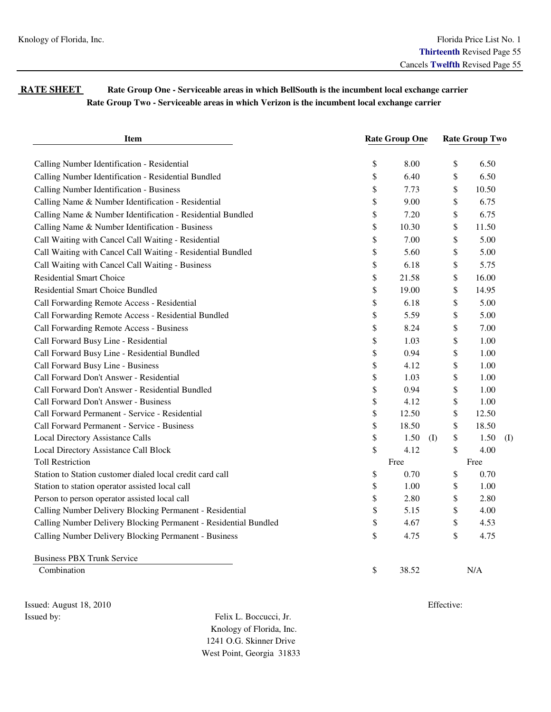## **RATE SHEET** Rate Group One - Serviceable areas in which BellSouth is the incumbent local exchange carrier  **Rate Group Two - Serviceable areas in which Verizon is the incumbent local exchange carrier**

| <b>Item</b>                                                      | <b>Rate Group One</b> |       |                               | <b>Rate Group Two</b> |       |     |
|------------------------------------------------------------------|-----------------------|-------|-------------------------------|-----------------------|-------|-----|
| Calling Number Identification - Residential                      | \$                    | 8.00  | \$                            |                       | 6.50  |     |
| Calling Number Identification - Residential Bundled              | \$                    | 6.40  | \$                            |                       | 6.50  |     |
| Calling Number Identification - Business                         | \$                    | 7.73  | \$                            |                       | 10.50 |     |
| Calling Name & Number Identification - Residential               | \$                    | 9.00  | \$                            |                       | 6.75  |     |
| Calling Name & Number Identification - Residential Bundled       | \$                    | 7.20  | \$                            |                       | 6.75  |     |
| Calling Name & Number Identification - Business                  | \$                    | 10.30 | \$                            |                       | 11.50 |     |
| Call Waiting with Cancel Call Waiting - Residential              | \$                    | 7.00  | \$                            |                       | 5.00  |     |
| Call Waiting with Cancel Call Waiting - Residential Bundled      | \$                    | 5.60  | \$                            |                       | 5.00  |     |
| Call Waiting with Cancel Call Waiting - Business                 | \$                    | 6.18  | \$                            |                       | 5.75  |     |
| <b>Residential Smart Choice</b>                                  | \$                    | 21.58 | \$                            |                       | 16.00 |     |
| <b>Residential Smart Choice Bundled</b>                          | \$                    | 19.00 | \$                            |                       | 14.95 |     |
| Call Forwarding Remote Access - Residential                      | \$                    | 6.18  | \$                            |                       | 5.00  |     |
| Call Forwarding Remote Access - Residential Bundled              | \$                    | 5.59  | \$                            |                       | 5.00  |     |
| Call Forwarding Remote Access - Business                         | \$                    | 8.24  | \$                            |                       | 7.00  |     |
| Call Forward Busy Line - Residential                             | \$                    | 1.03  | \$                            |                       | 1.00  |     |
| Call Forward Busy Line - Residential Bundled                     | \$                    | 0.94  | \$                            |                       | 1.00  |     |
| Call Forward Busy Line - Business                                | \$                    | 4.12  | \$                            |                       | 1.00  |     |
| Call Forward Don't Answer - Residential                          | \$                    | 1.03  | \$                            |                       | 1.00  |     |
| Call Forward Don't Answer - Residential Bundled                  | \$                    | 0.94  | \$                            |                       | 1.00  |     |
| Call Forward Don't Answer - Business                             | \$                    | 4.12  | \$                            |                       | 1.00  |     |
| Call Forward Permanent - Service - Residential                   | \$                    | 12.50 | \$                            |                       | 12.50 |     |
| Call Forward Permanent - Service - Business                      | \$                    | 18.50 | \$                            |                       | 18.50 |     |
| Local Directory Assistance Calls                                 | \$                    | 1.50  | \$<br>$\left( \Gamma \right)$ |                       | 1.50  | (I) |
| Local Directory Assistance Call Block                            | \$                    | 4.12  | \$                            |                       | 4.00  |     |
| <b>Toll Restriction</b>                                          |                       | Free  |                               | Free                  |       |     |
| Station to Station customer dialed local credit card call        | \$                    | 0.70  | \$                            |                       | 0.70  |     |
| Station to station operator assisted local call                  | \$                    | 1.00  | \$                            |                       | 1.00  |     |
| Person to person operator assisted local call                    | \$                    | 2.80  | \$                            |                       | 2.80  |     |
| Calling Number Delivery Blocking Permanent - Residential         | \$                    | 5.15  | \$                            |                       | 4.00  |     |
| Calling Number Delivery Blocking Permanent - Residential Bundled | \$                    | 4.67  | \$                            |                       | 4.53  |     |
| Calling Number Delivery Blocking Permanent - Business            | \$                    | 4.75  | \$                            |                       | 4.75  |     |
| <b>Business PBX Trunk Service</b>                                |                       |       |                               |                       |       |     |

Combination  $\qquad \qquad$  N/A

Issued: August 18, 2010 Effective: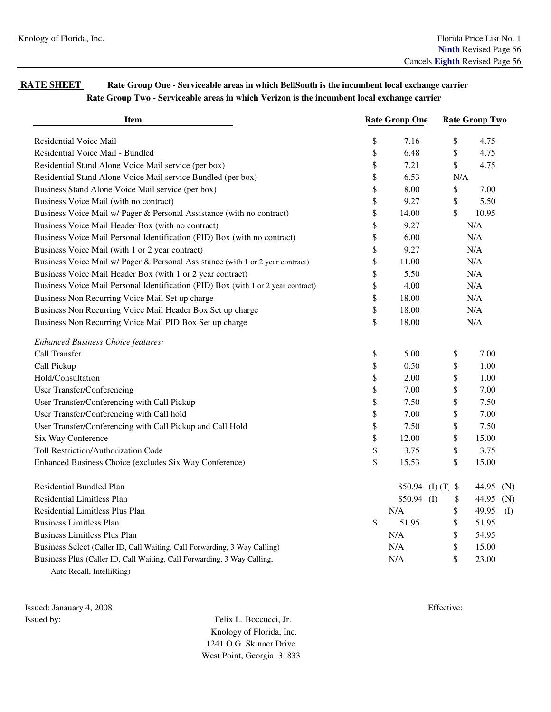## **RATE SHEET** Rate Group One - Serviceable areas in which BellSouth is the incumbent local exchange carrier  **Rate Group Two - Serviceable areas in which Verizon is the incumbent local exchange carrier**

| <b>Item</b>                                                                       | <b>Rate Group One</b> |              | <b>Rate Group Two</b> |           |     |  |
|-----------------------------------------------------------------------------------|-----------------------|--------------|-----------------------|-----------|-----|--|
| Residential Voice Mail                                                            | \$                    | 7.16         | \$                    | 4.75      |     |  |
| Residential Voice Mail - Bundled                                                  | \$                    | 6.48         | \$                    | 4.75      |     |  |
| Residential Stand Alone Voice Mail service (per box)                              | \$                    | 7.21         | \$                    | 4.75      |     |  |
| Residential Stand Alone Voice Mail service Bundled (per box)                      | \$                    | 6.53         |                       | N/A       |     |  |
| Business Stand Alone Voice Mail service (per box)                                 | \$                    | 8.00         | \$                    | 7.00      |     |  |
| Business Voice Mail (with no contract)                                            | \$                    | 9.27         | \$                    | 5.50      |     |  |
| Business Voice Mail w/ Pager & Personal Assistance (with no contract)             | \$                    | 14.00        | \$                    | 10.95     |     |  |
| Business Voice Mail Header Box (with no contract)                                 | \$                    | 9.27         |                       | N/A       |     |  |
| Business Voice Mail Personal Identification (PID) Box (with no contract)          | \$                    | 6.00         |                       | N/A       |     |  |
| Business Voice Mail (with 1 or 2 year contract)                                   | \$                    | 9.27         |                       | N/A       |     |  |
| Business Voice Mail w/ Pager & Personal Assistance (with 1 or 2 year contract)    | \$                    | 11.00        |                       | N/A       |     |  |
| Business Voice Mail Header Box (with 1 or 2 year contract)                        | \$                    | 5.50         |                       | N/A       |     |  |
| Business Voice Mail Personal Identification (PID) Box (with 1 or 2 year contract) | \$                    | 4.00         |                       | N/A       |     |  |
| Business Non Recurring Voice Mail Set up charge                                   | \$                    | 18.00        |                       | N/A       |     |  |
| Business Non Recurring Voice Mail Header Box Set up charge                        | \$                    | 18.00        |                       | N/A       |     |  |
| Business Non Recurring Voice Mail PID Box Set up charge                           | \$                    | 18.00        |                       | N/A       |     |  |
| <b>Enhanced Business Choice features:</b>                                         |                       |              |                       |           |     |  |
| Call Transfer                                                                     | \$                    | 5.00         | \$                    | 7.00      |     |  |
| Call Pickup                                                                       | \$                    | 0.50         | \$                    | 1.00      |     |  |
| Hold/Consultation                                                                 | \$                    | 2.00         | \$                    | 1.00      |     |  |
| User Transfer/Conferencing                                                        | \$                    | 7.00         | \$                    | 7.00      |     |  |
| User Transfer/Conferencing with Call Pickup                                       | \$                    | 7.50         | \$                    | 7.50      |     |  |
| User Transfer/Conferencing with Call hold                                         | \$                    | 7.00         | \$                    | 7.00      |     |  |
| User Transfer/Conferencing with Call Pickup and Call Hold                         | \$                    | 7.50         | \$                    | 7.50      |     |  |
| Six Way Conference                                                                | \$                    | 12.00        | \$                    | 15.00     |     |  |
| Toll Restriction/Authorization Code                                               | \$                    | 3.75         | \$                    | 3.75      |     |  |
| Enhanced Business Choice (excludes Six Way Conference)                            | \$                    | 15.53        | \$                    | 15.00     |     |  |
| <b>Residential Bundled Plan</b>                                                   |                       |              | $$50.94$ (I) (T) \$   | 44.95 (N) |     |  |
| <b>Residential Limitless Plan</b>                                                 |                       | $$50.94$ (I) | \$                    | 44.95 (N) |     |  |
| Residential Limitless Plus Plan                                                   |                       | N/A          | \$                    | 49.95     | (I) |  |
| <b>Business Limitless Plan</b>                                                    | \$                    | 51.95        | \$                    | 51.95     |     |  |
| <b>Business Limitless Plus Plan</b>                                               |                       | N/A          | \$                    | 54.95     |     |  |
| Business Select (Caller ID, Call Waiting, Call Forwarding, 3 Way Calling)         |                       | N/A          | \$                    | 15.00     |     |  |
| Business Plus (Caller ID, Call Waiting, Call Forwarding, 3 Way Calling,           |                       | N/A          | \$                    | 23.00     |     |  |
| Auto Recall, IntelliRing)                                                         |                       |              |                       |           |     |  |

Issued: Janauary 4, 2008 Effective: